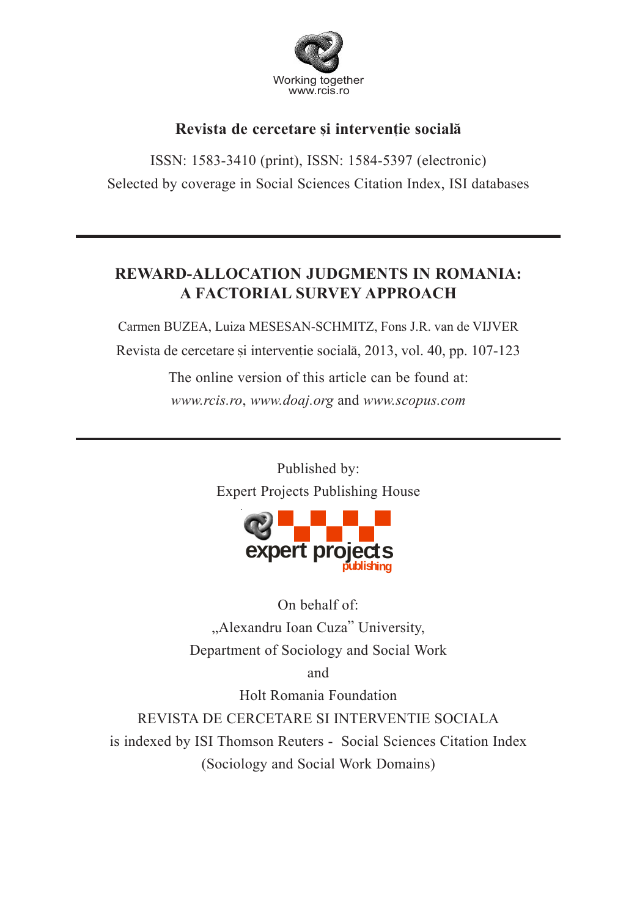

# Revista de cercetare și interventie socială

ISSN: 1583-3410 (print), ISSN: 1584-5397 (electronic) Selected by coverage in Social Sciences Citation Index, ISI databases

# **REWARD-ALLOCATION JUDGMENTS IN ROMANIA: A FACTORIAL SURVEY APPROACH**

Carmen BUZEA, Luiza MESESAN-SCHMITZ, Fons J.R. van de VIJVER Revista de cercetare și intervenție socială, 2013, vol. 40, pp. 107-123

> The online version of this article can be found at: *www.rcis.ro*, *www.doaj.org* and *www.scopus.com*

> > Published by: Expert Projects Publishing House



On behalf of: "Alexandru Ioan Cuza" University, Department of Sociology and Social Work

and

Holt Romania Foundation

REVISTA DE CERCETARE SI INTERVENTIE SOCIALA is indexed by ISI Thomson Reuters - Social Sciences Citation Index (Sociology and Social Work Domains)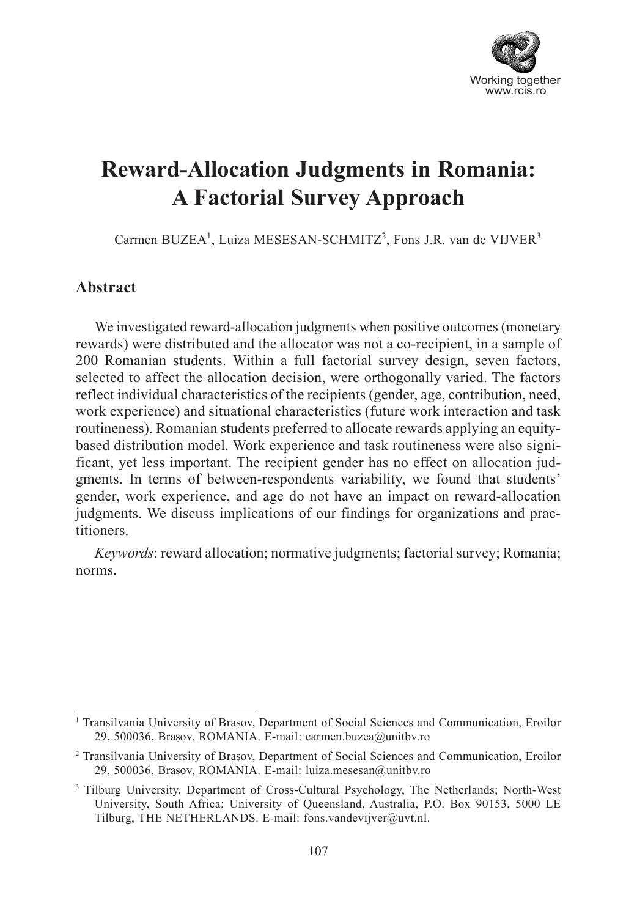

# **Reward-Allocation Judgments in Romania: A Factorial Survey Approach**

Carmen BUZEA<sup>1</sup>, Luiza MESESAN-SCHMITZ<sup>2</sup>, Fons J.R. van de VIJVER<sup>3</sup>

### **Abstract**

We investigated reward-allocation judgments when positive outcomes (monetary rewards) were distributed and the allocator was not a co-recipient, in a sample of 200 Romanian students. Within a full factorial survey design, seven factors, selected to affect the allocation decision, were orthogonally varied. The factors reflect individual characteristics of the recipients (gender, age, contribution, need, work experience) and situational characteristics (future work interaction and task routineness). Romanian students preferred to allocate rewards applying an equitybased distribution model. Work experience and task routineness were also significant, yet less important. The recipient gender has no effect on allocation judgments. In terms of between-respondents variability, we found that students' gender, work experience, and age do not have an impact on reward-allocation judgments. We discuss implications of our findings for organizations and practitioners.

*Keywords*: reward allocation; normative judgments; factorial survey; Romania; norms.

<sup>&</sup>lt;sup>1</sup> Transilvania University of Brașov, Department of Social Sciences and Communication, Eroilor 29, 500036, Brașov, ROMANIA. E-mail: carmen.buzea@unitbv.ro

<sup>&</sup>lt;sup>2</sup> Transilvania University of Brașov, Department of Social Sciences and Communication, Eroilor 29, 500036, Brasov, ROMANIA. E-mail: luiza.mesesan@unitbv.ro

<sup>&</sup>lt;sup>3</sup> Tilburg University, Department of Cross-Cultural Psychology, The Netherlands; North-West University, South Africa; University of Queensland, Australia, P.O. Box 90153, 5000 LE Tilburg, THE NETHERLANDS. E-mail: fons.vandevijver@uvt.nl.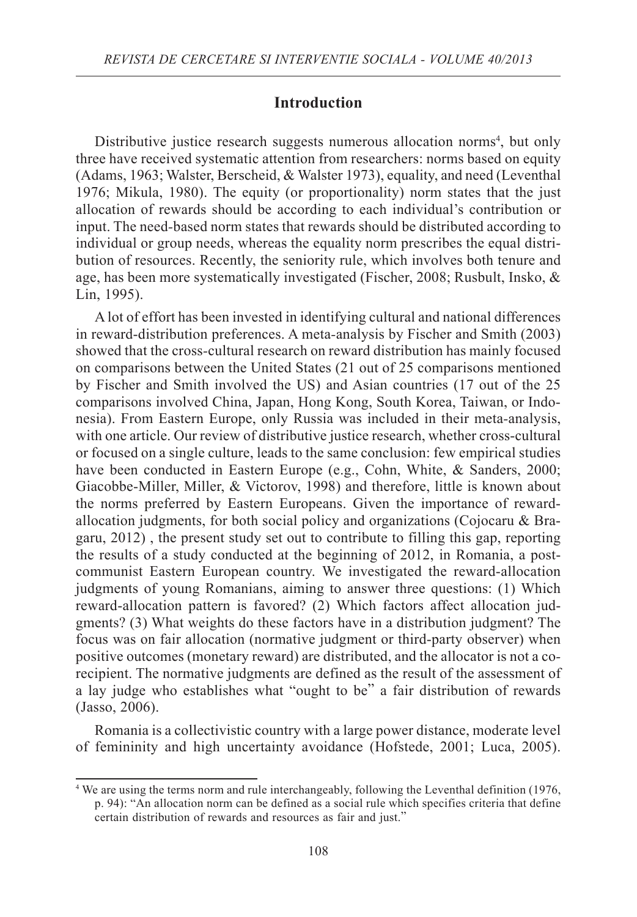#### **Introduction**

Distributive justice research suggests numerous allocation norms<sup>4</sup>, but only three have received systematic attention from researchers: norms based on equity (Adams, 1963; Walster, Berscheid, & Walster 1973), equality, and need (Leventhal 1976; Mikula, 1980). The equity (or proportionality) norm states that the just allocation of rewards should be according to each individual's contribution or input. The need*-*based norm states that rewards should be distributed according to individual or group needs, whereas the equality norm prescribes the equal distribution of resources. Recently, the seniority rule, which involves both tenure and age, has been more systematically investigated (Fischer, 2008; Rusbult, Insko, & Lin, 1995).

A lot of effort has been invested in identifying cultural and national differences in reward-distribution preferences. A meta*-*analysis by Fischer and Smith (2003) showed that the cross*-*cultural research on reward distribution has mainly focused on comparisons between the United States (21 out of 25 comparisons mentioned by Fischer and Smith involved the US) and Asian countries (17 out of the 25 comparisons involved China, Japan, Hong Kong, South Korea, Taiwan, or Indonesia). From Eastern Europe, only Russia was included in their meta*-*analysis, with one article. Our review of distributive justice research, whether cross-cultural or focused on a single culture, leads to the same conclusion: few empirical studies have been conducted in Eastern Europe (e.g., Cohn, White, & Sanders, 2000; Giacobbe-Miller, Miller, & Victorov, 1998) and therefore, little is known about the norms preferred by Eastern Europeans. Given the importance of rewardallocation judgments, for both social policy and organizations (Cojocaru & Bragaru, 2012) , the present study set out to contribute to filling this gap, reporting the results of a study conducted at the beginning of 2012, in Romania, a postcommunist Eastern European country. We investigated the reward-allocation judgments of young Romanians, aiming to answer three questions: (1) Which reward-allocation pattern is favored? (2) Which factors affect allocation judgments? (3) What weights do these factors have in a distribution judgment? The focus was on fair allocation (normative judgment or third-party observer) when positive outcomes (monetary reward) are distributed, and the allocator is not a corecipient. The normative judgments are defined as the result of the assessment of a lay judge who establishes what "ought to be" a fair distribution of rewards (Jasso, 2006).

Romania is a collectivistic country with a large power distance, moderate level of femininity and high uncertainty avoidance (Hofstede, 2001; Luca, 2005).

<sup>4</sup> We are using the terms norm and rule interchangeably, following the Leventhal definition (1976, p. 94): "An allocation norm can be defined as a social rule which specifies criteria that define certain distribution of rewards and resources as fair and just."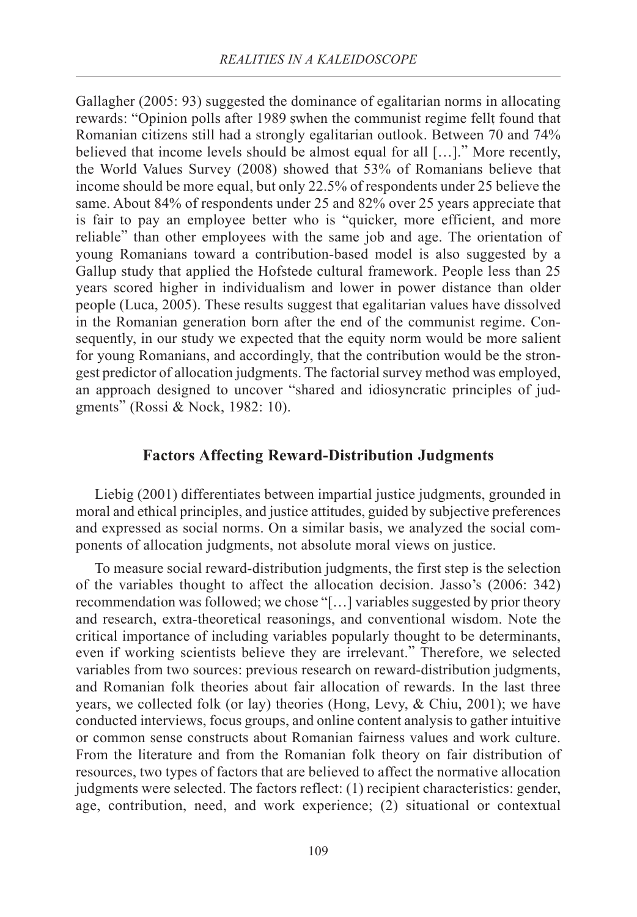Gallagher (2005: 93) suggested the dominance of egalitarian norms in allocating rewards: "Opinion polls after 1989 swhen the communist regime fellt found that Romanian citizens still had a strongly egalitarian outlook. Between 70 and 74% believed that income levels should be almost equal for all […]." More recently, the World Values Survey (2008) showed that 53% of Romanians believe that income should be more equal, but only 22.5% of respondents under 25 believe the same. About 84% of respondents under 25 and 82% over 25 years appreciate that is fair to pay an employee better who is "quicker, more efficient, and more reliable" than other employees with the same job and age. The orientation of young Romanians toward a contribution*-*based model is also suggested by a Gallup study that applied the Hofstede cultural framework. People less than 25 years scored higher in individualism and lower in power distance than older people (Luca, 2005). These results suggest that egalitarian values have dissolved in the Romanian generation born after the end of the communist regime. Consequently, in our study we expected that the equity norm would be more salient for young Romanians, and accordingly, that the contribution would be the strongest predictor of allocation judgments. The factorial survey method was employed, an approach designed to uncover "shared and idiosyncratic principles of judgments" (Rossi & Nock, 1982: 10).

#### **Factors Affecting Reward-Distribution Judgments**

Liebig (2001) differentiates between impartial justice judgments, grounded in moral and ethical principles, and justice attitudes, guided by subjective preferences and expressed as social norms. On a similar basis, we analyzed the social components of allocation judgments, not absolute moral views on justice.

To measure social reward-distribution judgments, the first step is the selection of the variables thought to affect the allocation decision. Jasso's (2006: 342) recommendation was followed; we chose "[…] variables suggested by prior theory and research, extra*-*theoretical reasonings, and conventional wisdom. Note the critical importance of including variables popularly thought to be determinants, even if working scientists believe they are irrelevant." Therefore, we selected variables from two sources: previous research on reward-distribution judgments, and Romanian folk theories about fair allocation of rewards. In the last three years, we collected folk (or lay) theories (Hong, Levy, & Chiu, 2001); we have conducted interviews, focus groups, and online content analysis to gather intuitive or common sense constructs about Romanian fairness values and work culture. From the literature and from the Romanian folk theory on fair distribution of resources, two types of factors that are believed to affect the normative allocation judgments were selected. The factors reflect: (1) recipient characteristics: gender, age, contribution, need, and work experience; (2) situational or contextual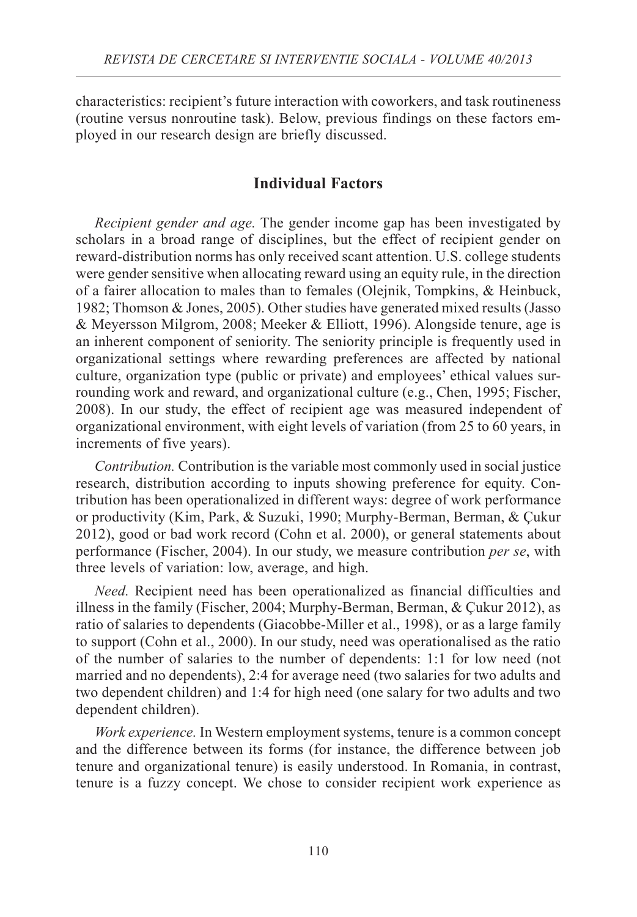characteristics: recipient's future interaction with coworkers, and task routineness (routine versus nonroutine task). Below, previous findings on these factors employed in our research design are briefly discussed.

# **Individual Factors**

*Recipient gender and age.* The gender income gap has been investigated by scholars in a broad range of disciplines, but the effect of recipient gender on reward-distribution norms has only received scant attention. U.S. college students were gender sensitive when allocating reward using an equity rule, in the direction of a fairer allocation to males than to females (Olejnik, Tompkins, & Heinbuck, 1982; Thomson & Jones, 2005). Other studies have generated mixed results (Jasso & Meyersson Milgrom, 2008; Meeker & Elliott, 1996). Alongside tenure, age is an inherent component of seniority. The seniority principle is frequently used in organizational settings where rewarding preferences are affected by national culture, organization type (public or private) and employees' ethical values surrounding work and reward, and organizational culture (e.g., Chen, 1995; Fischer, 2008). In our study, the effect of recipient age was measured independent of organizational environment, with eight levels of variation (from 25 to 60 years, in increments of five years).

*Contribution.* Contribution is the variable most commonly used in social justice research, distribution according to inputs showing preference for equity. Contribution has been operationalized in different ways: degree of work performance or productivity (Kim, Park, & Suzuki, 1990; Murphy-Berman, Berman, & Çukur 2012), good or bad work record (Cohn et al. 2000), or general statements about performance (Fischer, 2004). In our study, we measure contribution *per se*, with three levels of variation: low, average, and high.

*Need.* Recipient need has been operationalized as financial difficulties and illness in the family (Fischer, 2004; Murphy-Berman, Berman, & Çukur 2012), as ratio of salaries to dependents (Giacobbe-Miller et al., 1998), or as a large family to support (Cohn et al., 2000). In our study, need was operationalised as the ratio of the number of salaries to the number of dependents: 1:1 for low need (not married and no dependents), 2:4 for average need (two salaries for two adults and two dependent children) and 1:4 for high need (one salary for two adults and two dependent children).

*Work experience.* In Western employment systems, tenure is a common concept and the difference between its forms (for instance, the difference between job tenure and organizational tenure) is easily understood. In Romania, in contrast, tenure is a fuzzy concept. We chose to consider recipient work experience as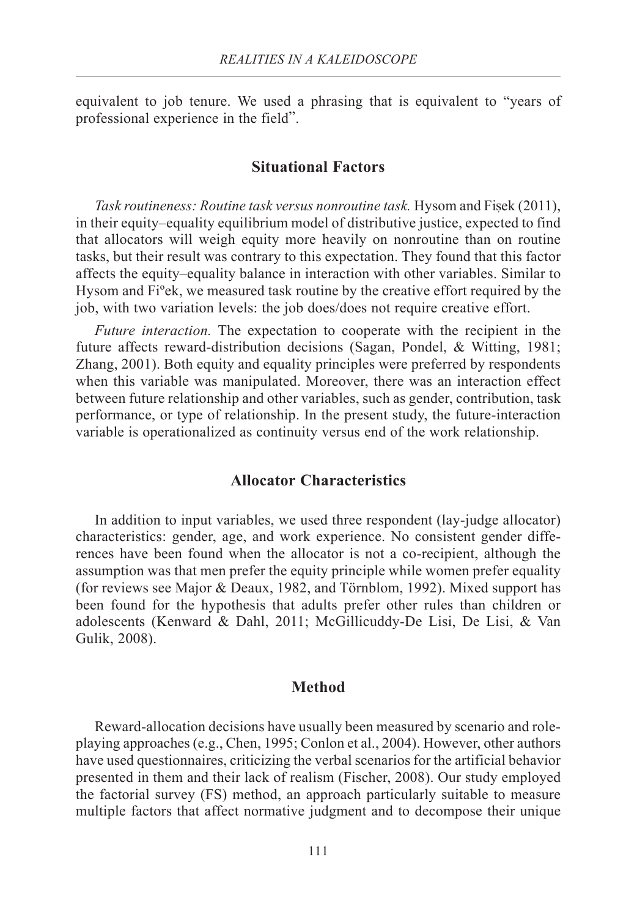equivalent to job tenure. We used a phrasing that is equivalent to "years of professional experience in the field".

#### **Situational Factors**

*Task routineness: Routine task versus nonroutine task.* Hysom and Fisek (2011), in their equity*–*equality equilibrium model of distributive justice, expected to find that allocators will weigh equity more heavily on nonroutine than on routine tasks, but their result was contrary to this expectation. They found that this factor affects the equity–equality balance in interaction with other variables. Similar to Hysom and Fiºek, we measured task routine by the creative effort required by the job, with two variation levels: the job does/does not require creative effort.

*Future interaction.* The expectation to cooperate with the recipient in the future affects reward-distribution decisions (Sagan, Pondel, & Witting, 1981; Zhang, 2001). Both equity and equality principles were preferred by respondents when this variable was manipulated. Moreover, there was an interaction effect between future relationship and other variables, such as gender, contribution, task performance, or type of relationship. In the present study, the future-interaction variable is operationalized as continuity versus end of the work relationship.

#### **Allocator Characteristics**

In addition to input variables, we used three respondent (lay-judge allocator) characteristics: gender, age, and work experience. No consistent gender differences have been found when the allocator is not a co-recipient, although the assumption was that men prefer the equity principle while women prefer equality (for reviews see Major & Deaux, 1982, and Törnblom, 1992). Mixed support has been found for the hypothesis that adults prefer other rules than children or adolescents (Kenward & Dahl, 2011; McGillicuddy-De Lisi, De Lisi, & Van Gulik, 2008).

#### **Method**

Reward-allocation decisions have usually been measured by scenario and roleplaying approaches (e.g., Chen, 1995; Conlon et al., 2004). However, other authors have used questionnaires, criticizing the verbal scenarios for the artificial behavior presented in them and their lack of realism (Fischer, 2008). Our study employed the factorial survey (FS) method, an approach particularly suitable to measure multiple factors that affect normative judgment and to decompose their unique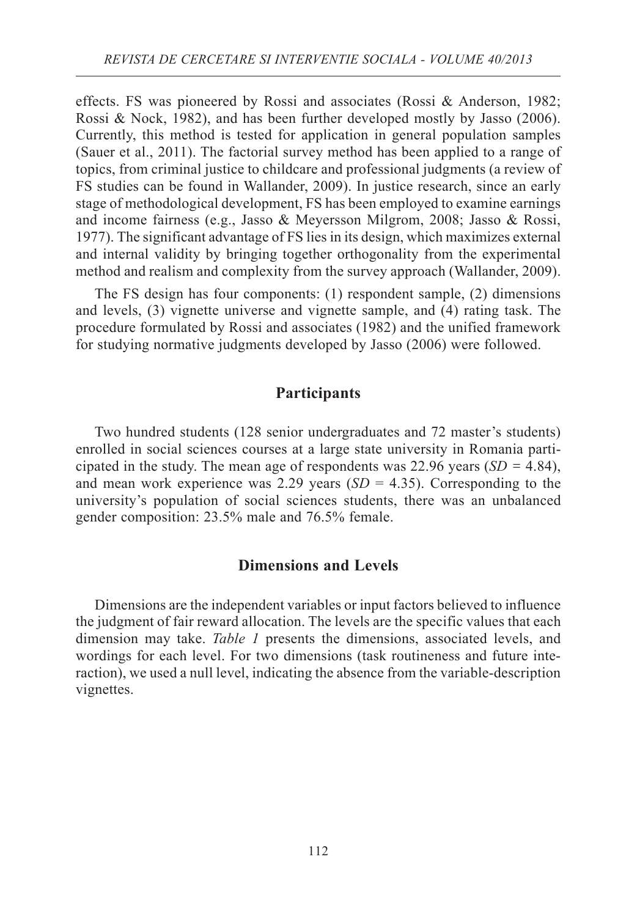effects. FS was pioneered by Rossi and associates (Rossi & Anderson, 1982; Rossi & Nock, 1982), and has been further developed mostly by Jasso (2006). Currently, this method is tested for application in general population samples (Sauer et al., 2011). The factorial survey method has been applied to a range of topics, from criminal justice to childcare and professional judgments (a review of FS studies can be found in Wallander, 2009). In justice research, since an early stage of methodological development, FS has been employed to examine earnings and income fairness (e.g., Jasso & Meyersson Milgrom, 2008; Jasso & Rossi, 1977). The significant advantage of FS lies in its design, which maximizes external and internal validity by bringing together orthogonality from the experimental method and realism and complexity from the survey approach (Wallander, 2009).

The FS design has four components: (1) respondent sample, (2) dimensions and levels, (3) vignette universe and vignette sample, and (4) rating task. The procedure formulated by Rossi and associates (1982) and the unified framework for studying normative judgments developed by Jasso (2006) were followed.

#### **Participants**

Two hundred students (128 senior undergraduates and 72 master's students) enrolled in social sciences courses at a large state university in Romania participated in the study. The mean age of respondents was 22.96 years  $(SD = 4.84)$ , and mean work experience was 2.29 years  $(SD = 4.35)$ . Corresponding to the university's population of social sciences students, there was an unbalanced gender composition: 23.5% male and 76.5% female.

#### **Dimensions and Levels**

Dimensions are the independent variables or input factors believed to influence the judgment of fair reward allocation. The levels are the specific values that each dimension may take. *Table 1* presents the dimensions, associated levels, and wordings for each level. For two dimensions (task routineness and future interaction), we used a null level, indicating the absence from the variable-description vignettes.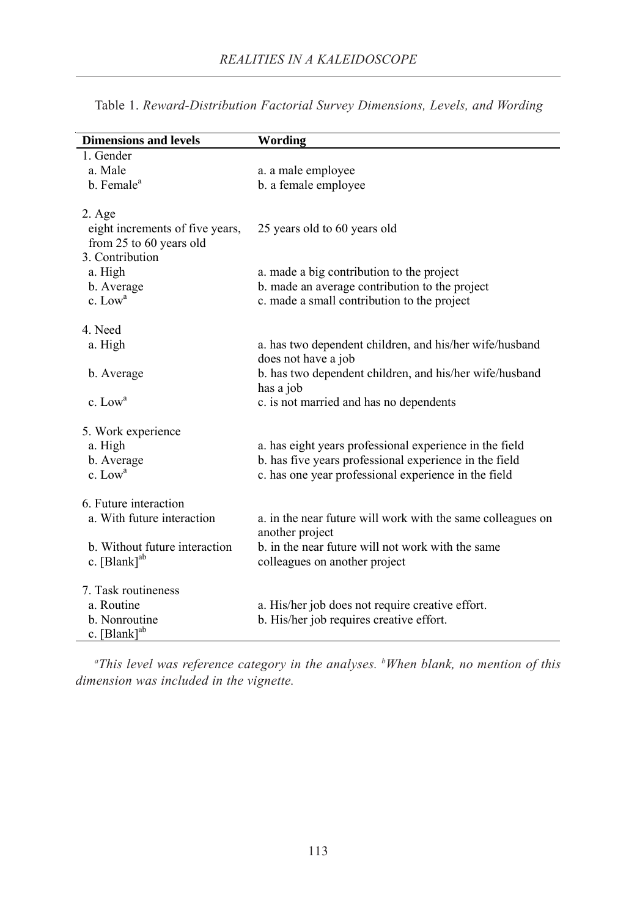| <b>Dimensions and levels</b>    | <b>Wording</b>                                              |
|---------------------------------|-------------------------------------------------------------|
| 1. Gender                       |                                                             |
| a. Male                         | a. a male employee                                          |
| b. Female <sup>a</sup>          | b. a female employee                                        |
| $2. \text{Age}$                 |                                                             |
| eight increments of five years, | 25 years old to 60 years old                                |
| from 25 to 60 years old         |                                                             |
| 3. Contribution                 |                                                             |
| a. High                         | a. made a big contribution to the project                   |
| b. Average                      | b. made an average contribution to the project              |
| $c.$ Low <sup>a</sup>           | c. made a small contribution to the project                 |
| 4. Need                         |                                                             |
| a. High                         | a. has two dependent children, and his/her wife/husband     |
|                                 | does not have a job                                         |
| b. Average                      | b. has two dependent children, and his/her wife/husband     |
|                                 | has a job                                                   |
| c. $Lowa$                       | c. is not married and has no dependents                     |
| 5. Work experience              |                                                             |
| a. High                         | a. has eight years professional experience in the field     |
| b. Average                      | b. has five years professional experience in the field      |
| $c.$ Low <sup>a</sup>           | c. has one year professional experience in the field        |
|                                 |                                                             |
| 6. Future interaction           |                                                             |
| a. With future interaction      | a. in the near future will work with the same colleagues on |
|                                 | another project                                             |
| b. Without future interaction   | b. in the near future will not work with the same           |
| c. $[Blank]$ <sup>ab</sup>      | colleagues on another project                               |
| 7. Task routineness             |                                                             |
| a. Routine                      | a. His/her job does not require creative effort.            |
| b. Nonroutine                   | b. His/her job requires creative effort.                    |
| $c.$ [Blank] <sup>ab</sup>      |                                                             |

Table 1. *Reward-Distribution Factorial Survey Dimensions, Levels, and Wording*

*a This level was reference category in the analyses. b When blank, no mention of this dimension was included in the vignette.*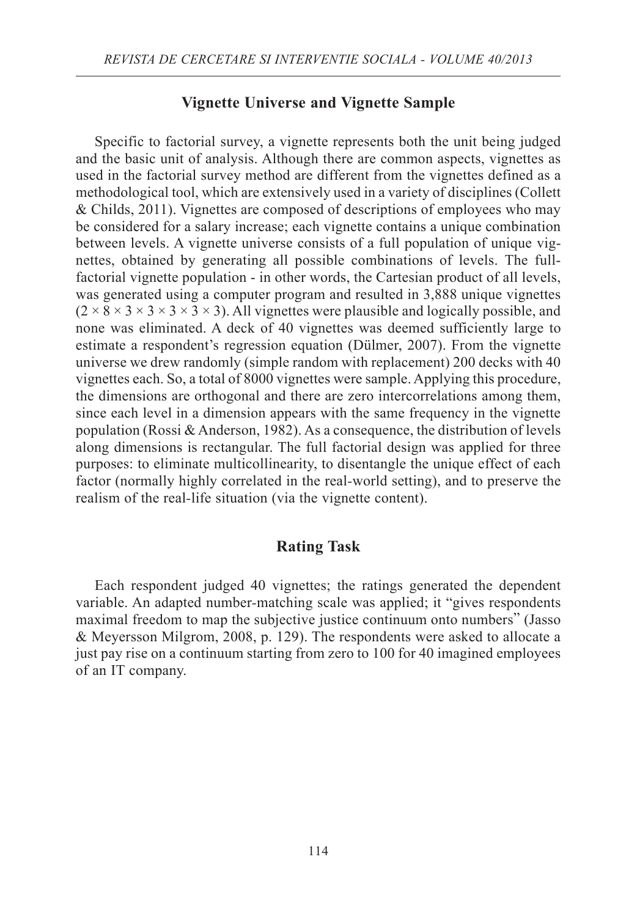## **Vignette Universe and Vignette Sample**

Specific to factorial survey, a vignette represents both the unit being judged and the basic unit of analysis. Although there are common aspects, vignettes as used in the factorial survey method are different from the vignettes defined as a methodological tool, which are extensively used in a variety of disciplines (Collett & Childs, 2011). Vignettes are composed of descriptions of employees who may be considered for a salary increase; each vignette contains a unique combination between levels. A vignette universe consists of a full population of unique vignettes, obtained by generating all possible combinations of levels. The fullfactorial vignette population - in other words, the Cartesian product of all levels, was generated using a computer program and resulted in 3,888 unique vignettes  $(2 \times 8 \times 3 \times 3 \times 3 \times 3)$ . All vignettes were plausible and logically possible, and none was eliminated. A deck of 40 vignettes was deemed sufficiently large to estimate a respondent's regression equation (Dülmer, 2007). From the vignette universe we drew randomly (simple random with replacement) 200 decks with 40 vignettes each. So, a total of 8000 vignettes were sample. Applying this procedure, the dimensions are orthogonal and there are zero intercorrelations among them, since each level in a dimension appears with the same frequency in the vignette population (Rossi & Anderson, 1982). As a consequence, the distribution of levels along dimensions is rectangular. The full factorial design was applied for three purposes: to eliminate multicollinearity, to disentangle the unique effect of each factor (normally highly correlated in the real*-*world setting), and to preserve the realism of the real*-*life situation (via the vignette content).

# **Rating Task**

Each respondent judged 40 vignettes; the ratings generated the dependent variable. An adapted number*-*matching scale was applied; it "gives respondents maximal freedom to map the subjective justice continuum onto numbers" (Jasso & Meyersson Milgrom, 2008, p. 129). The respondents were asked to allocate a just pay rise on a continuum starting from zero to 100 for 40 imagined employees of an IT company.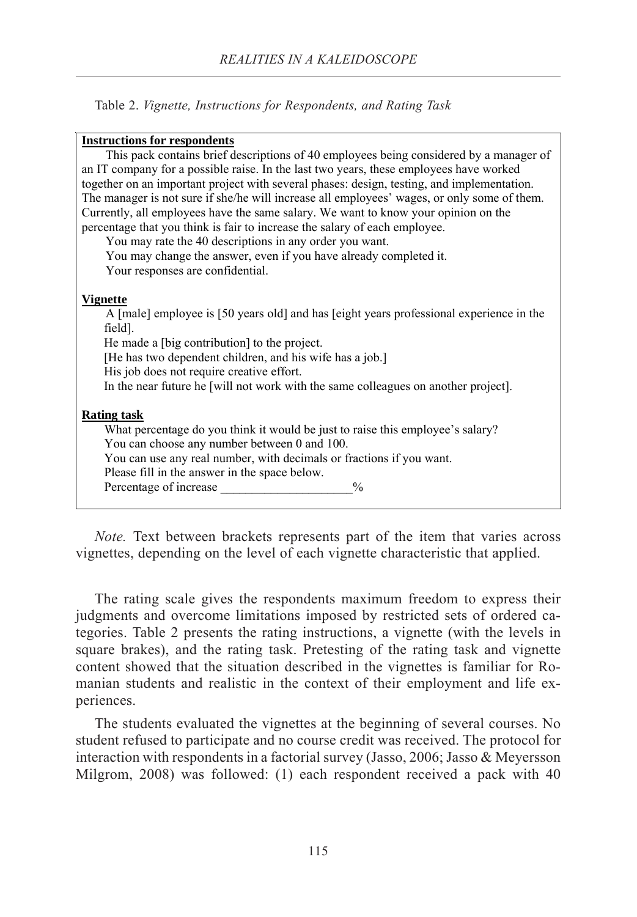Table 2. *Vignette, Instructions for Respondents, and Rating Task*

#### **Instructions for respondents**

This pack contains brief descriptions of 40 employees being considered by a manager of an IT company for a possible raise. In the last two years, these employees have worked together on an important project with several phases: design, testing, and implementation. The manager is not sure if she/he will increase all employees' wages, or only some of them. Currently, all employees have the same salary. We want to know your opinion on the percentage that you think is fair to increase the salary of each employee.

You may rate the 40 descriptions in any order you want. You may change the answer, even if you have already completed it. Your responses are confidential.

**Vignette**

A [male] employee is [50 years old] and has [eight years professional experience in the field]. He made a [big contribution] to the project. [He has two dependent children, and his wife has a job.] His job does not require creative effort. In the near future he [will not work with the same colleagues on another project]. **Rating task** What percentage do you think it would be just to raise this employee's salary? You can choose any number between 0 and 100. You can use any real number, with decimals or fractions if you want. Please fill in the answer in the space below.

Percentage of increase  $\frac{9}{6}$ 

*Note.* Text between brackets represents part of the item that varies across vignettes, depending on the level of each vignette characteristic that applied.

The rating scale gives the respondents maximum freedom to express their judgments and overcome limitations imposed by restricted sets of ordered categories. Table 2 presents the rating instructions, a vignette (with the levels in square brakes), and the rating task. Pretesting of the rating task and vignette content showed that the situation described in the vignettes is familiar for Romanian students and realistic in the context of their employment and life experiences.

The students evaluated the vignettes at the beginning of several courses. No student refused to participate and no course credit was received. The protocol for interaction with respondents in a factorial survey (Jasso, 2006; Jasso & Meyersson Milgrom, 2008) was followed: (1) each respondent received a pack with 40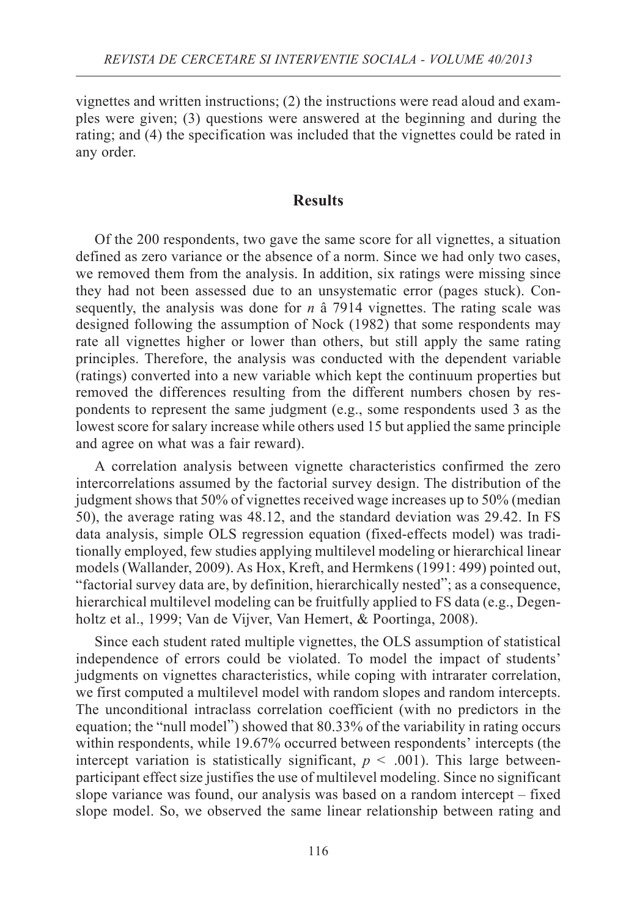vignettes and written instructions; (2) the instructions were read aloud and examples were given; (3) questions were answered at the beginning and during the rating; and (4) the specification was included that the vignettes could be rated in any order.

## **Results**

Of the 200 respondents, two gave the same score for all vignettes, a situation defined as zero variance or the absence of a norm. Since we had only two cases, we removed them from the analysis. In addition, six ratings were missing since they had not been assessed due to an unsystematic error (pages stuck). Consequently, the analysis was done for  $n \hat{a}$  7914 vignettes. The rating scale was designed following the assumption of Nock (1982) that some respondents may rate all vignettes higher or lower than others, but still apply the same rating principles. Therefore, the analysis was conducted with the dependent variable (ratings) converted into a new variable which kept the continuum properties but removed the differences resulting from the different numbers chosen by respondents to represent the same judgment (e.g., some respondents used 3 as the lowest score for salary increase while others used 15 but applied the same principle and agree on what was a fair reward).

A correlation analysis between vignette characteristics confirmed the zero intercorrelations assumed by the factorial survey design. The distribution of the judgment shows that 50% of vignettes received wage increases up to 50% (median 50), the average rating was 48.12, and the standard deviation was 29.42. In FS data analysis, simple OLS regression equation (fixed-effects model) was traditionally employed, few studies applying multilevel modeling or hierarchical linear models (Wallander, 2009). As Hox, Kreft, and Hermkens (1991: 499) pointed out, "factorial survey data are, by definition, hierarchically nested"; as a consequence, hierarchical multilevel modeling can be fruitfully applied to FS data (e.g., Degenholtz et al., 1999; Van de Vijver, Van Hemert, & Poortinga, 2008).

Since each student rated multiple vignettes, the OLS assumption of statistical independence of errors could be violated. To model the impact of students' judgments on vignettes characteristics, while coping with intrarater correlation, we first computed a multilevel model with random slopes and random intercepts. The unconditional intraclass correlation coefficient (with no predictors in the equation; the "null model") showed that 80.33% of the variability in rating occurs within respondents, while 19.67% occurred between respondents' intercepts (the intercept variation is statistically significant,  $p < .001$ ). This large betweenparticipant effect size justifies the use of multilevel modeling. Since no significant slope variance was found, our analysis was based on a random intercept – fixed slope model. So, we observed the same linear relationship between rating and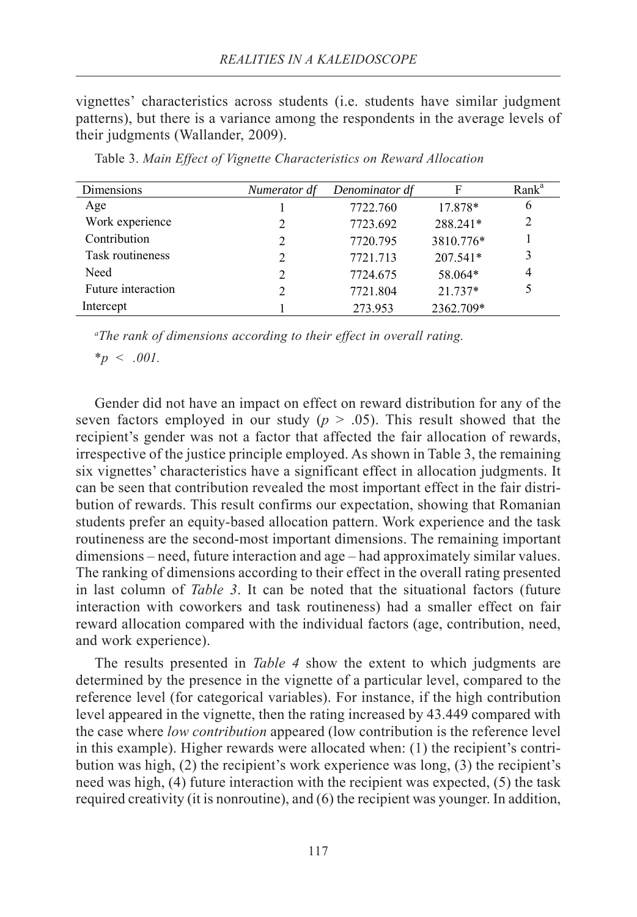vignettes' characteristics across students (i.e. students have similar judgment patterns), but there is a variance among the respondents in the average levels of their judgments (Wallander, 2009).

| Dimensions         | Numerator df                | Denominator df | F         | Rank <sup>a</sup> |
|--------------------|-----------------------------|----------------|-----------|-------------------|
| Age                |                             | 7722.760       | 17.878*   | 6                 |
| Work experience    | $\mathfrak{D}$              | 7723.692       | 288.241*  | 2                 |
| Contribution       | $\mathfrak{D}$              | 7720.795       | 3810.776* |                   |
| Task routineness   | $\mathfrak{D}$              | 7721.713       | 207.541*  | 3                 |
| Need               | $\mathcal{D}_{\mathcal{L}}$ | 7724.675       | 58.064*   | 4                 |
| Future interaction | $\mathfrak{D}$              | 7721.804       | $21.737*$ | 5                 |
| Intercept          |                             | 273.953        | 2362.709* |                   |

Table 3. *Main Effect of Vignette Characteristics on Reward Allocation*

*a The rank of dimensions according to their effect in overall rating.*

*\*p < .001.*

Gender did not have an impact on effect on reward distribution for any of the seven factors employed in our study  $(p > .05)$ . This result showed that the recipient's gender was not a factor that affected the fair allocation of rewards, irrespective of the justice principle employed. As shown in Table 3, the remaining six vignettes' characteristics have a significant effect in allocation judgments. It can be seen that contribution revealed the most important effect in the fair distribution of rewards. This result confirms our expectation, showing that Romanian students prefer an equity-based allocation pattern. Work experience and the task routineness are the second-most important dimensions. The remaining important dimensions – need, future interaction and age – had approximately similar values. The ranking of dimensions according to their effect in the overall rating presented in last column of *Table 3*. It can be noted that the situational factors (future interaction with coworkers and task routineness) had a smaller effect on fair reward allocation compared with the individual factors (age, contribution, need, and work experience).

The results presented in *Table 4* show the extent to which judgments are determined by the presence in the vignette of a particular level, compared to the reference level (for categorical variables). For instance, if the high contribution level appeared in the vignette, then the rating increased by 43.449 compared with the case where *low contribution* appeared (low contribution is the reference level in this example). Higher rewards were allocated when: (1) the recipient's contribution was high, (2) the recipient's work experience was long, (3) the recipient's need was high, (4) future interaction with the recipient was expected, (5) the task required creativity (it is nonroutine), and (6) the recipient was younger. In addition,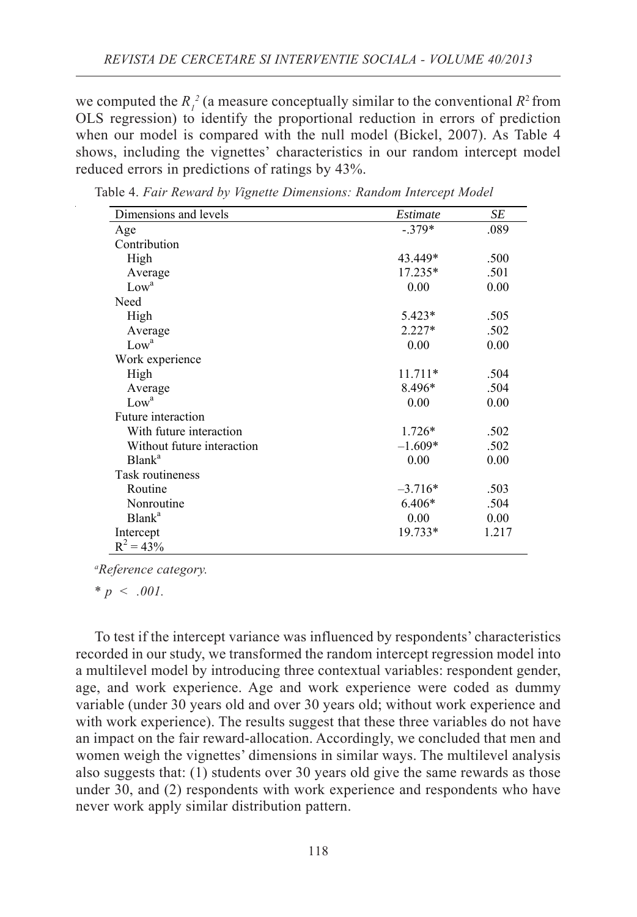we computed the  $R_i^2$  (a measure conceptually similar to the conventional  $R^2$  from OLS regression) to identify the proportional reduction in errors of prediction when our model is compared with the null model (Bickel, 2007). As Table 4 shows, including the vignettes' characteristics in our random intercept model reduced errors in predictions of ratings by 43%.

| Dimensions and levels      | Estimate  | SE    |
|----------------------------|-----------|-------|
| Age                        | $-379*$   | .089  |
| Contribution               |           |       |
| High                       | 43.449*   | .500  |
| Average                    | $17.235*$ | .501  |
| Low <sup>a</sup>           | 0.00      | 0.00  |
| Need                       |           |       |
| High                       | 5.423*    | .505  |
| Average                    | $2.227*$  | .502  |
| Low <sup>a</sup>           | 0.00      | 0.00  |
| Work experience            |           |       |
| High                       | $11.711*$ | .504  |
| Average                    | 8.496*    | .504  |
| Low <sup>a</sup>           | 0.00      | 0.00  |
| Future interaction         |           |       |
| With future interaction    | $1.726*$  | .502  |
| Without future interaction | $-1.609*$ | .502  |
| Blank <sup>a</sup>         | 0.00      | 0.00  |
| Task routineness           |           |       |
| Routine                    | $-3.716*$ | .503  |
| Nonroutine                 | 6.406*    | .504  |
| Blank <sup>a</sup>         | 0.00      | 0.00  |
| Intercept                  | 19.733*   | 1.217 |
| $R^2 = 43\%$               |           |       |

Table 4. *Fair Reward by Vignette Dimensions: Random Intercept Model*

*a Reference category.*

*\* p < .001.*

To test if the intercept variance was influenced by respondents' characteristics recorded in our study, we transformed the random intercept regression model into a multilevel model by introducing three contextual variables: respondent gender, age, and work experience. Age and work experience were coded as dummy variable (under 30 years old and over 30 years old; without work experience and with work experience). The results suggest that these three variables do not have an impact on the fair reward-allocation. Accordingly, we concluded that men and women weigh the vignettes' dimensions in similar ways. The multilevel analysis also suggests that: (1) students over 30 years old give the same rewards as those under 30, and (2) respondents with work experience and respondents who have never work apply similar distribution pattern.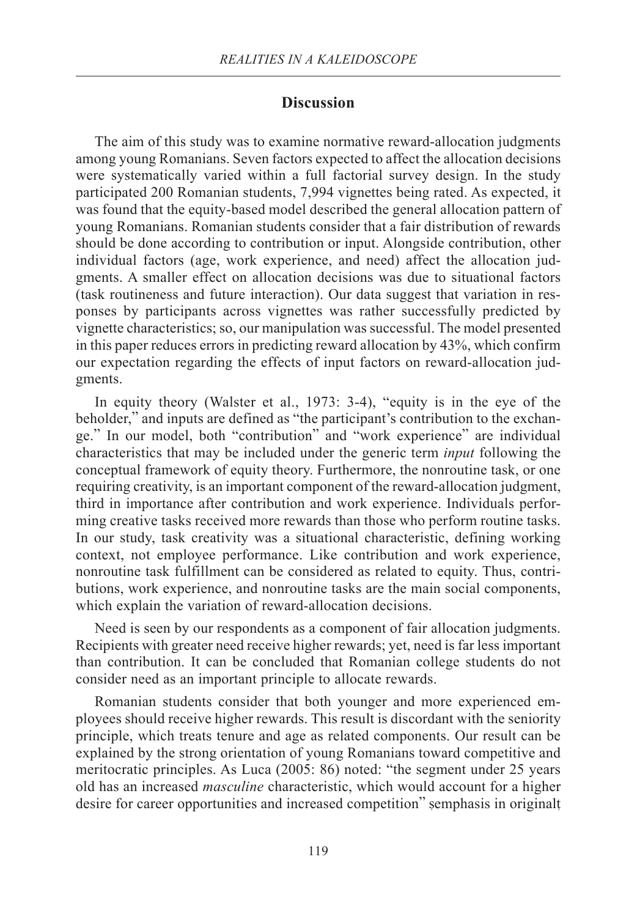#### **Discussion**

The aim of this study was to examine normative reward-allocation judgments among young Romanians. Seven factors expected to affect the allocation decisions were systematically varied within a full factorial survey design. In the study participated 200 Romanian students, 7,994 vignettes being rated. As expected, it was found that the equity-based model described the general allocation pattern of young Romanians. Romanian students consider that a fair distribution of rewards should be done according to contribution or input. Alongside contribution, other individual factors (age, work experience, and need) affect the allocation judgments. A smaller effect on allocation decisions was due to situational factors (task routineness and future interaction). Our data suggest that variation in responses by participants across vignettes was rather successfully predicted by vignette characteristics; so, our manipulation was successful. The model presented in this paper reduces errors in predicting reward allocation by 43%, which confirm our expectation regarding the effects of input factors on reward-allocation judgments.

In equity theory (Walster et al., 1973: 3-4), "equity is in the eye of the beholder," and inputs are defined as "the participant's contribution to the exchange." In our model, both "contribution" and "work experience" are individual characteristics that may be included under the generic term *input* following the conceptual framework of equity theory. Furthermore, the nonroutine task, or one requiring creativity, is an important component of the reward-allocation judgment, third in importance after contribution and work experience. Individuals performing creative tasks received more rewards than those who perform routine tasks. In our study, task creativity was a situational characteristic, defining working context, not employee performance. Like contribution and work experience, nonroutine task fulfillment can be considered as related to equity. Thus, contributions, work experience, and nonroutine tasks are the main social components, which explain the variation of reward-allocation decisions.

Need is seen by our respondents as a component of fair allocation judgments. Recipients with greater need receive higher rewards; yet, need is far less important than contribution. It can be concluded that Romanian college students do not consider need as an important principle to allocate rewards.

Romanian students consider that both younger and more experienced employees should receive higher rewards. This result is discordant with the seniority principle, which treats tenure and age as related components. Our result can be explained by the strong orientation of young Romanians toward competitive and meritocratic principles. As Luca (2005: 86) noted: "the segment under 25 years old has an increased *masculine* characteristic, which would account for a higher desire for career opportunities and increased competition" semphasis in originalt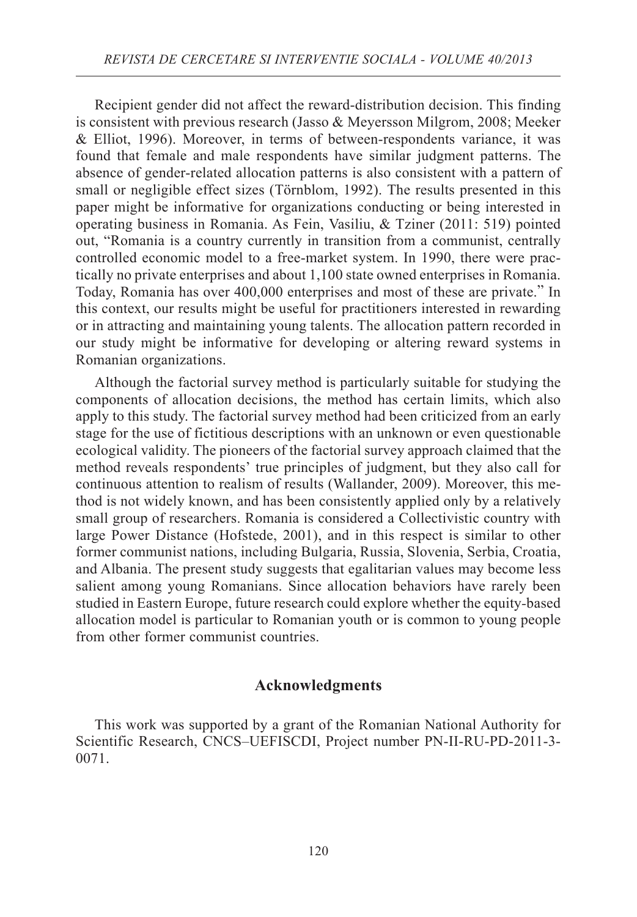Recipient gender did not affect the reward-distribution decision. This finding is consistent with previous research (Jasso & Meyersson Milgrom, 2008; Meeker & Elliot, 1996). Moreover, in terms of between-respondents variance, it was found that female and male respondents have similar judgment patterns. The absence of gender-related allocation patterns is also consistent with a pattern of small or negligible effect sizes (Törnblom, 1992). The results presented in this paper might be informative for organizations conducting or being interested in operating business in Romania. As Fein, Vasiliu, & Tziner (2011: 519) pointed out, "Romania is a country currently in transition from a communist, centrally controlled economic model to a free-market system. In 1990, there were practically no private enterprises and about 1,100 state owned enterprises in Romania. Today, Romania has over 400,000 enterprises and most of these are private." In this context, our results might be useful for practitioners interested in rewarding or in attracting and maintaining young talents. The allocation pattern recorded in our study might be informative for developing or altering reward systems in Romanian organizations.

Although the factorial survey method is particularly suitable for studying the components of allocation decisions, the method has certain limits, which also apply to this study. The factorial survey method had been criticized from an early stage for the use of fictitious descriptions with an unknown or even questionable ecological validity. The pioneers of the factorial survey approach claimed that the method reveals respondents' true principles of judgment, but they also call for continuous attention to realism of results (Wallander, 2009). Moreover, this method is not widely known, and has been consistently applied only by a relatively small group of researchers. Romania is considered a Collectivistic country with large Power Distance (Hofstede, 2001), and in this respect is similar to other former communist nations, including Bulgaria, Russia, Slovenia, Serbia, Croatia, and Albania. The present study suggests that egalitarian values may become less salient among young Romanians. Since allocation behaviors have rarely been studied in Eastern Europe, future research could explore whether the equity*-*based allocation model is particular to Romanian youth or is common to young people from other former communist countries.

#### **Acknowledgments**

This work was supported by a grant of the Romanian National Authority for Scientific Research, CNCS–UEFISCDI, Project number PN-II-RU-PD-2011-3- 0071.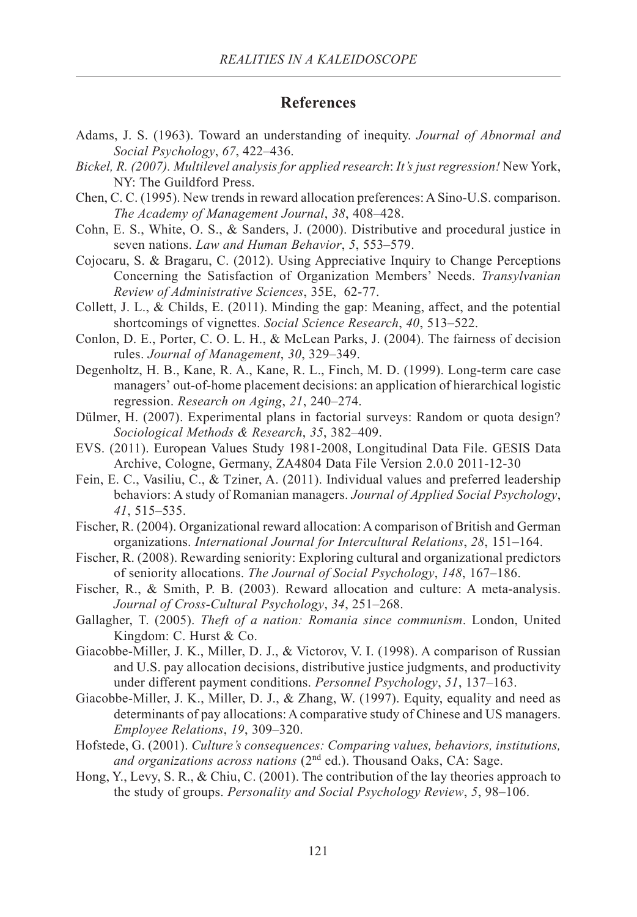#### **References**

- Adams, J. S. (1963). Toward an understanding of inequity. *Journal of Abnormal and Social Psychology*, *67*, 422–436.
- *Bickel, R. (2007). Multilevel analysis for applied research*: *It's just regression!* New York, NY: The Guildford Press.
- Chen, C. C. (1995). New trends in reward allocation preferences: A Sino-U.S. comparison. *The Academy of Management Journal*, *38*, 408–428.
- Cohn, E. S., White, O. S., & Sanders, J. (2000). Distributive and procedural justice in seven nations. *Law and Human Behavior*, *5*, 553–579.
- Cojocaru, S. & Bragaru, C. (2012). Using Appreciative Inquiry to Change Perceptions Concerning the Satisfaction of Organization Members' Needs. *Transylvanian Review of Administrative Sciences*, 35E, 62-77.
- Collett, J. L., & Childs, E. (2011). Minding the gap: Meaning, affect, and the potential shortcomings of vignettes. *Social Science Research*, *40*, 513–522.
- Conlon, D. E., Porter, C. O. L. H., & McLean Parks, J. (2004). The fairness of decision rules. *Journal of Management*, *30*, 329–349.
- Degenholtz, H. B., Kane, R. A., Kane, R. L., Finch, M. D. (1999). Long-term care case managers' out-of-home placement decisions: an application of hierarchical logistic regression. *Research on Aging*, *21*, 240–274.
- Dülmer, H. (2007). Experimental plans in factorial surveys: Random or quota design? *Sociological Methods & Research*, *35*, 382–409.
- EVS. (2011). European Values Study 1981-2008, Longitudinal Data File. GESIS Data Archive, Cologne, Germany, ZA4804 Data File Version 2.0.0 2011-12-30
- Fein, E. C., Vasiliu, C., & Tziner, A. (2011). Individual values and preferred leadership behaviors: A study of Romanian managers. *Journal of Applied Social Psychology*, *41*, 515–535.
- Fischer, R. (2004). Organizational reward allocation: A comparison of British and German organizations. *International Journal for Intercultural Relations*, *28*, 151–164.
- Fischer, R. (2008). Rewarding seniority: Exploring cultural and organizational predictors of seniority allocations. *The Journal of Social Psychology*, *148*, 167–186.
- Fischer, R., & Smith, P. B. (2003). Reward allocation and culture: A meta-analysis. *Journal of Cross-Cultural Psychology*, *34*, 251–268.
- Gallagher, T. (2005). *Theft of a nation: Romania since communism*. London, United Kingdom: C. Hurst & Co.
- Giacobbe-Miller, J. K., Miller, D. J., & Victorov, V. I. (1998). A comparison of Russian and U.S. pay allocation decisions, distributive justice judgments, and productivity under different payment conditions. *Personnel Psychology*, *51*, 137–163.
- Giacobbe-Miller, J. K., Miller, D. J., & Zhang, W. (1997). Equity, equality and need as determinants of pay allocations: A comparative study of Chinese and US managers. *Employee Relations*, *19*, 309–320.
- Hofstede, G. (2001). *Culture's consequences: Comparing values, behaviors, institutions,* and organizations across nations (2<sup>nd</sup> ed.). Thousand Oaks, CA: Sage.
- Hong, Y., Levy, S. R., & Chiu, C. (2001). The contribution of the lay theories approach to the study of groups. *Personality and Social Psychology Review*, *5*, 98–106.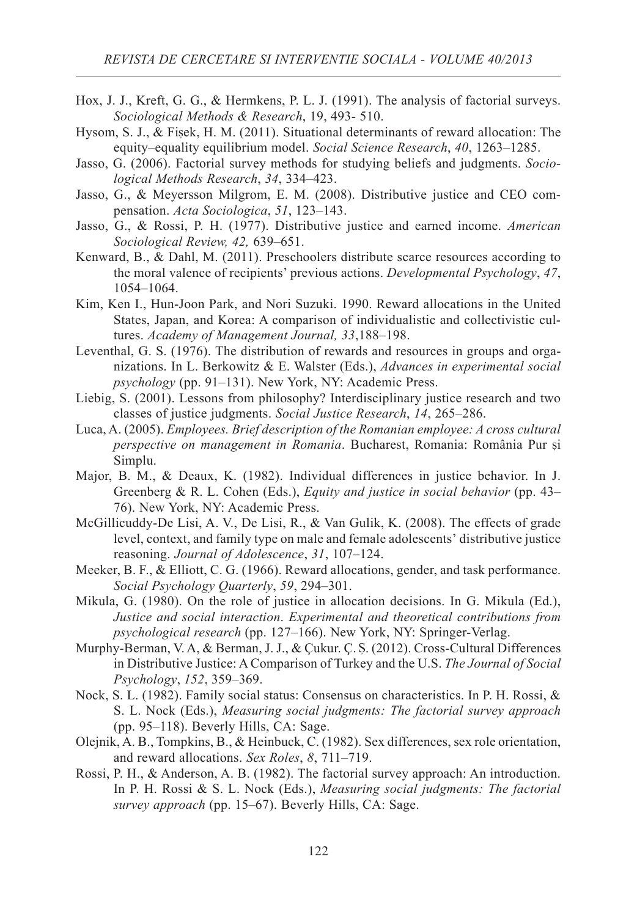- Hox, J. J., Kreft, G. G., & Hermkens, P. L. J. (1991). The analysis of factorial surveys. *Sociological Methods & Research*, 19, 493- 510.
- Hysom, S. J., & Fisek, H. M. (2011). Situational determinants of reward allocation: The equity–equality equilibrium model. *Social Science Research*, *40*, 1263–1285.
- Jasso, G. (2006). Factorial survey methods for studying beliefs and judgments. *Sociological Methods Research*, *34*, 334–423.
- Jasso, G., & Meyersson Milgrom, E. M. (2008). Distributive justice and CEO compensation. *Acta Sociologica*, *51*, 123–143.
- Jasso, G., & Rossi, P. H. (1977). Distributive justice and earned income. *American Sociological Review, 42,* 639–651.
- Kenward, B., & Dahl, M. (2011). Preschoolers distribute scarce resources according to the moral valence of recipients' previous actions. *Developmental Psychology*, *47*, 1054–1064.
- Kim, Ken I., Hun-Joon Park, and Nori Suzuki. 1990. Reward allocations in the United States, Japan, and Korea: A comparison of individualistic and collectivistic cultures. *Academy of Management Journal, 33*,188–198.
- Leventhal, G. S. (1976). The distribution of rewards and resources in groups and organizations. In L. Berkowitz & E. Walster (Eds.), *Advances in experimental social psychology* (pp. 91–131). New York, NY: Academic Press.
- Liebig, S. (2001). Lessons from philosophy? Interdisciplinary justice research and two classes of justice judgments. *Social Justice Research*, *14*, 265–286.
- Luca, A. (2005). *Employees. Brief description of the Romanian employee: A cross cultural perspective on management in Romania*. Bucharest, Romania: România Pur si Simplu.
- Major, B. M., & Deaux, K. (1982). Individual differences in justice behavior. In J. Greenberg & R. L. Cohen (Eds.), *Equity and justice in social behavior* (pp. 43– 76). New York, NY: Academic Press.
- McGillicuddy-De Lisi, A. V., De Lisi, R., & Van Gulik, K. (2008). The effects of grade level, context, and family type on male and female adolescents' distributive justice reasoning. *Journal of Adolescence*, *31*, 107–124.
- Meeker, B. F., & Elliott, C. G. (1966). Reward allocations, gender, and task performance. *Social Psychology Quarterly*, *59*, 294–301.
- Mikula, G. (1980). On the role of justice in allocation decisions. In G. Mikula (Ed.), *Justice and social interaction*. *Experimental and theoretical contributions from psychological research* (pp. 127–166). New York, NY: Springer-Verlag.
- Murphy-Berman, V. A, & Berman, J. J., & Çukur. Ç. Ş. (2012). Cross-Cultural Differences in Distributive Justice: A Comparison of Turkey and the U.S. *The Journal of Social Psychology*, *152*, 359–369.
- Nock, S. L. (1982). Family social status: Consensus on characteristics. In P. H. Rossi, & S. L. Nock (Eds.), *Measuring social judgments: The factorial survey approach* (pp. 95–118). Beverly Hills, CA: Sage.
- Olejnik, A. B., Tompkins, B., & Heinbuck, C. (1982). Sex differences, sex role orientation, and reward allocations. *Sex Roles*, *8*, 711–719.
- Rossi, P. H., & Anderson, A. B. (1982). The factorial survey approach: An introduction. In P. H. Rossi & S. L. Nock (Eds.), *Measuring social judgments: The factorial survey approach* (pp. 15–67). Beverly Hills, CA: Sage.